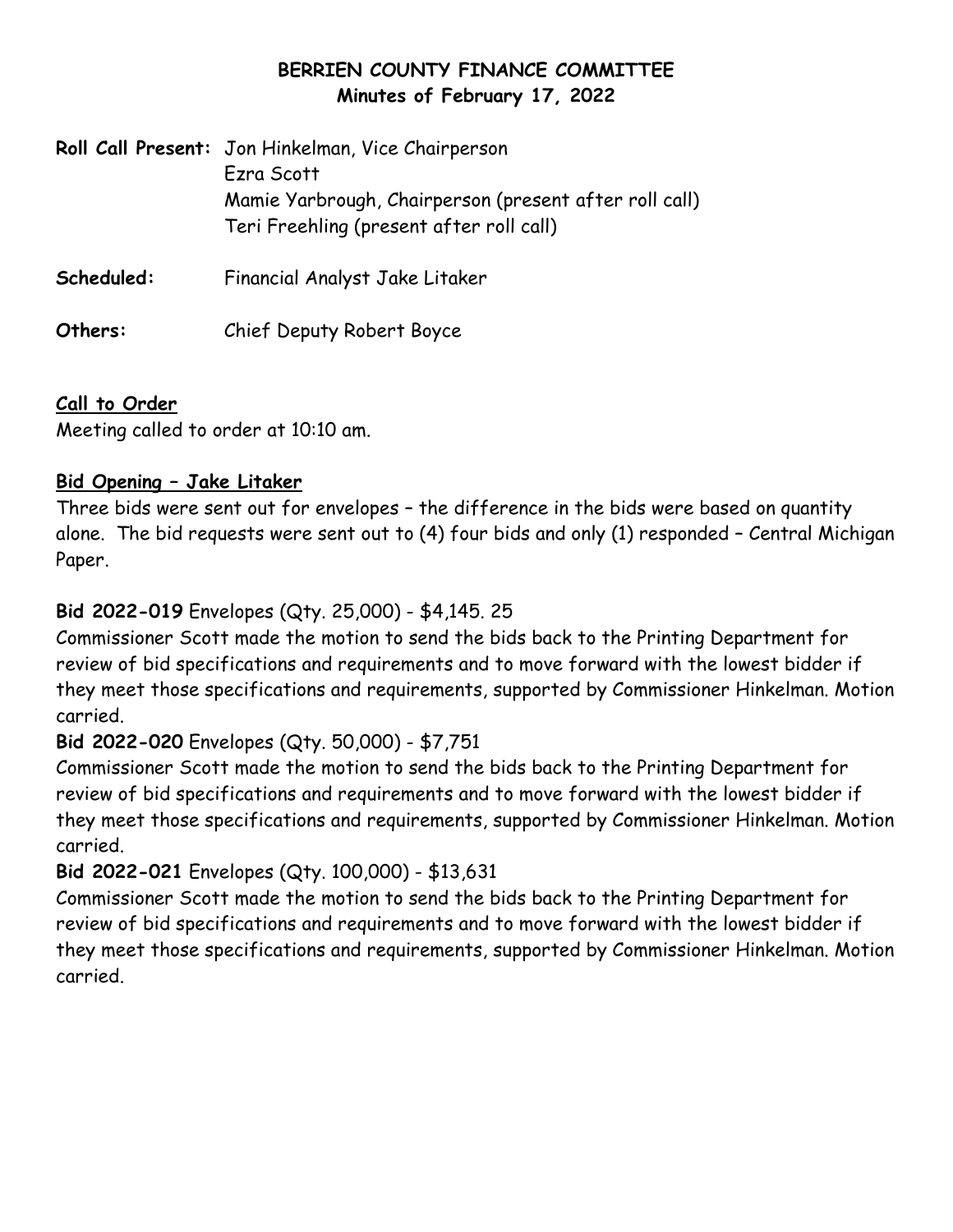# **BERRIEN COUNTY FINANCE COMMITTEE Minutes of February 17, 2022**

|            | Roll Call Present: Jon Hinkelman, Vice Chairperson<br>Ezra Scott<br>Mamie Yarbrough, Chairperson (present after roll call)<br>Teri Freehling (present after roll call) |
|------------|------------------------------------------------------------------------------------------------------------------------------------------------------------------------|
| Scheduled: | Financial Analyst Jake Litaker                                                                                                                                         |
| Others:    | Chief Deputy Robert Boyce                                                                                                                                              |

# **Call to Order**

Meeting called to order at 10:10 am.

## **Bid Opening – Jake Litaker**

Three bids were sent out for envelopes – the difference in the bids were based on quantity alone. The bid requests were sent out to (4) four bids and only (1) responded – Central Michigan Paper.

## **Bid 2022-019** Envelopes (Qty. 25,000) - \$4,145. 25

Commissioner Scott made the motion to send the bids back to the Printing Department for review of bid specifications and requirements and to move forward with the lowest bidder if they meet those specifications and requirements, supported by Commissioner Hinkelman. Motion carried.

### **Bid 2022-020** Envelopes (Qty. 50,000) - \$7,751

Commissioner Scott made the motion to send the bids back to the Printing Department for review of bid specifications and requirements and to move forward with the lowest bidder if they meet those specifications and requirements, supported by Commissioner Hinkelman. Motion carried.

### **Bid 2022-021** Envelopes (Qty. 100,000) - \$13,631

Commissioner Scott made the motion to send the bids back to the Printing Department for review of bid specifications and requirements and to move forward with the lowest bidder if they meet those specifications and requirements, supported by Commissioner Hinkelman. Motion carried.